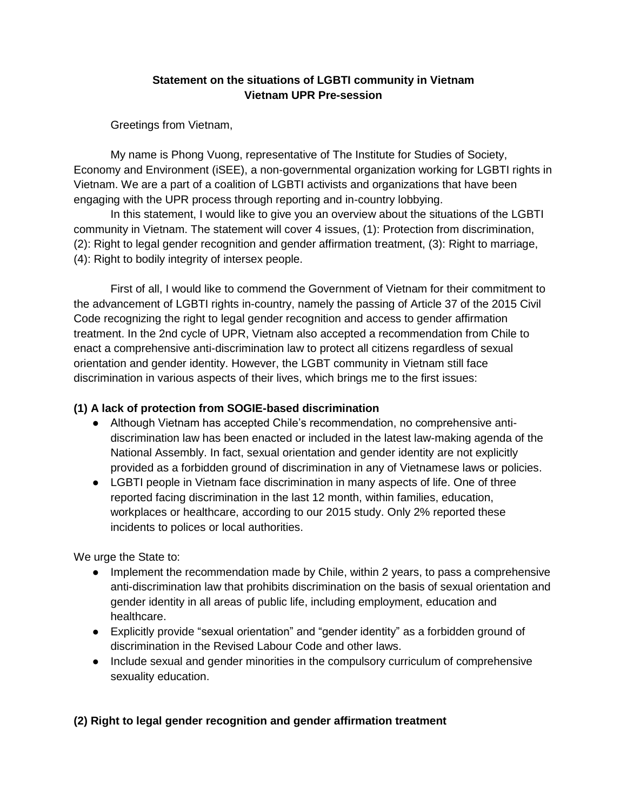#### **Statement on the situations of LGBTI community in Vietnam Vietnam UPR Pre-session**

Greetings from Vietnam,

My name is Phong Vuong, representative of The Institute for Studies of Society, Economy and Environment (iSEE), a non-governmental organization working for LGBTI rights in Vietnam. We are a part of a coalition of LGBTI activists and organizations that have been engaging with the UPR process through reporting and in-country lobbying.

In this statement, I would like to give you an overview about the situations of the LGBTI community in Vietnam. The statement will cover 4 issues, (1): Protection from discrimination, (2): Right to legal gender recognition and gender affirmation treatment, (3): Right to marriage, (4): Right to bodily integrity of intersex people.

First of all, I would like to commend the Government of Vietnam for their commitment to the advancement of LGBTI rights in-country, namely the passing of Article 37 of the 2015 Civil Code recognizing the right to legal gender recognition and access to gender affirmation treatment. In the 2nd cycle of UPR, Vietnam also accepted a recommendation from Chile to enact a comprehensive anti-discrimination law to protect all citizens regardless of sexual orientation and gender identity. However, the LGBT community in Vietnam still face discrimination in various aspects of their lives, which brings me to the first issues:

#### **(1) A lack of protection from SOGIE-based discrimination**

- Although Vietnam has accepted Chile's recommendation, no comprehensive antidiscrimination law has been enacted or included in the latest law-making agenda of the National Assembly. In fact, sexual orientation and gender identity are not explicitly provided as a forbidden ground of discrimination in any of Vietnamese laws or policies.
- LGBTI people in Vietnam face discrimination in many aspects of life. One of three reported facing discrimination in the last 12 month, within families, education, workplaces or healthcare, according to our 2015 study. Only 2% reported these incidents to polices or local authorities.

We urge the State to:

- Implement the recommendation made by Chile, within 2 years, to pass a comprehensive anti-discrimination law that prohibits discrimination on the basis of sexual orientation and gender identity in all areas of public life, including employment, education and healthcare.
- Explicitly provide "sexual orientation" and "gender identity" as a forbidden ground of discrimination in the Revised Labour Code and other laws.
- Include sexual and gender minorities in the compulsory curriculum of comprehensive sexuality education.

## **(2) Right to legal gender recognition and gender affirmation treatment**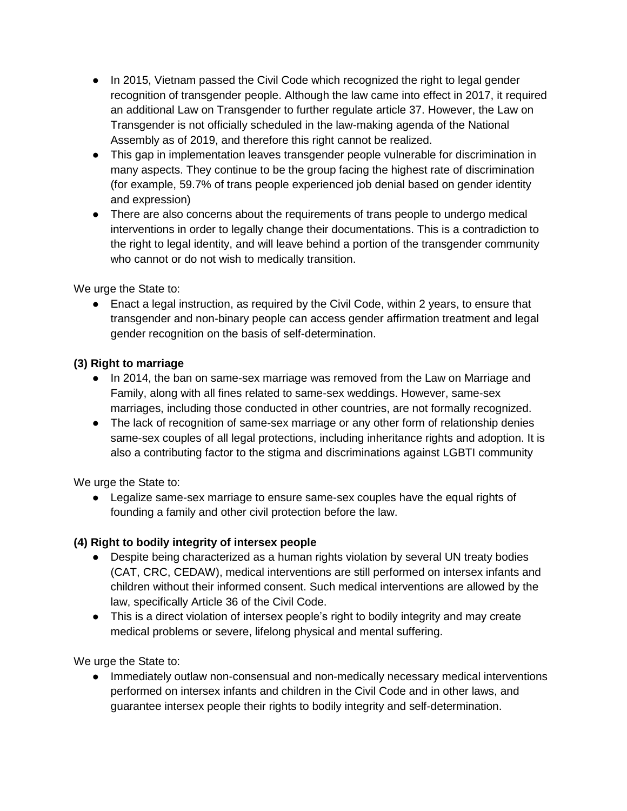- In 2015, Vietnam passed the Civil Code which recognized the right to legal gender recognition of transgender people. Although the law came into effect in 2017, it required an additional Law on Transgender to further regulate article 37. However, the Law on Transgender is not officially scheduled in the law-making agenda of the National Assembly as of 2019, and therefore this right cannot be realized.
- This gap in implementation leaves transgender people vulnerable for discrimination in many aspects. They continue to be the group facing the highest rate of discrimination (for example, 59.7% of trans people experienced job denial based on gender identity and expression)
- There are also concerns about the requirements of trans people to undergo medical interventions in order to legally change their documentations. This is a contradiction to the right to legal identity, and will leave behind a portion of the transgender community who cannot or do not wish to medically transition.

We urge the State to:

● Enact a legal instruction, as required by the Civil Code, within 2 years, to ensure that transgender and non-binary people can access gender affirmation treatment and legal gender recognition on the basis of self-determination.

# **(3) Right to marriage**

- In 2014, the ban on same-sex marriage was removed from the Law on Marriage and Family, along with all fines related to same-sex weddings. However, same-sex marriages, including those conducted in other countries, are not formally recognized.
- The lack of recognition of same-sex marriage or any other form of relationship denies same-sex couples of all legal protections, including inheritance rights and adoption. It is also a contributing factor to the stigma and discriminations against LGBTI community

We urge the State to:

● Legalize same-sex marriage to ensure same-sex couples have the equal rights of founding a family and other civil protection before the law.

## **(4) Right to bodily integrity of intersex people**

- Despite being characterized as a human rights violation by several UN treaty bodies (CAT, CRC, CEDAW), medical interventions are still performed on intersex infants and children without their informed consent. Such medical interventions are allowed by the law, specifically Article 36 of the Civil Code.
- This is a direct violation of intersex people's right to bodily integrity and may create medical problems or severe, lifelong physical and mental suffering.

We urge the State to:

● Immediately outlaw non-consensual and non-medically necessary medical interventions performed on intersex infants and children in the Civil Code and in other laws, and guarantee intersex people their rights to bodily integrity and self-determination.